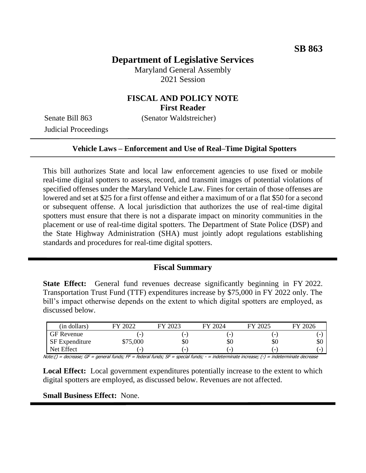# **Department of Legislative Services**

Maryland General Assembly 2021 Session

# **FISCAL AND POLICY NOTE First Reader**

Senate Bill 863 (Senator Waldstreicher)

Judicial Proceedings

#### **Vehicle Laws – Enforcement and Use of Real–Time Digital Spotters**

This bill authorizes State and local law enforcement agencies to use fixed or mobile real-time digital spotters to assess, record, and transmit images of potential violations of specified offenses under the Maryland Vehicle Law. Fines for certain of those offenses are lowered and set at \$25 for a first offense and either a maximum of or a flat \$50 for a second or subsequent offense. A local jurisdiction that authorizes the use of real-time digital spotters must ensure that there is not a disparate impact on minority communities in the placement or use of real-time digital spotters. The Department of State Police (DSP) and the State Highway Administration (SHA) must jointly adopt regulations establishing standards and procedures for real-time digital spotters.

#### **Fiscal Summary**

**State Effect:** General fund revenues decrease significantly beginning in FY 2022. Transportation Trust Fund (TTF) expenditures increase by \$75,000 in FY 2022 only. The bill's impact otherwise depends on the extent to which digital spotters are employed, as discussed below.

| (in dollars)          | 2022<br><b>EV</b>        | FY 2023                  | FY 2024                  | $FY$ 2025                | 12026<br>FV |
|-----------------------|--------------------------|--------------------------|--------------------------|--------------------------|-------------|
| <b>GF Revenue</b>     |                          | -                        | $\overline{\phantom{0}}$ |                          |             |
| <b>SF</b> Expenditure | \$75,000                 | \$0                      | \$0                      | \$0                      | эU          |
| Net Effect            | $\overline{\phantom{0}}$ | $\overline{\phantom{0}}$ | $\overline{\phantom{0}}$ | $\overline{\phantom{0}}$ |             |

Note:() = decrease; GF = general funds; FF = federal funds; SF = special funds; - = indeterminate increase; (-) = indeterminate decrease

**Local Effect:** Local government expenditures potentially increase to the extent to which digital spotters are employed, as discussed below. Revenues are not affected.

**Small Business Effect:** None.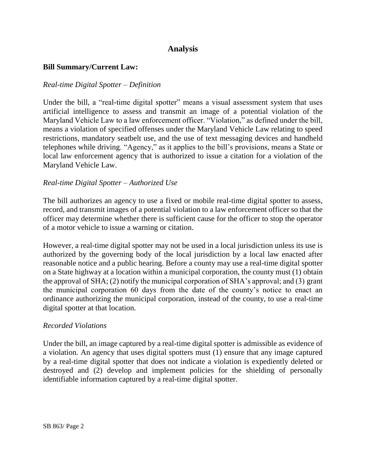# **Analysis**

### **Bill Summary/Current Law:**

### *Real-time Digital Spotter – Definition*

Under the bill, a "real-time digital spotter" means a visual assessment system that uses artificial intelligence to assess and transmit an image of a potential violation of the Maryland Vehicle Law to a law enforcement officer. "Violation," as defined under the bill, means a violation of specified offenses under the Maryland Vehicle Law relating to speed restrictions, mandatory seatbelt use, and the use of text messaging devices and handheld telephones while driving. "Agency," as it applies to the bill's provisions, means a State or local law enforcement agency that is authorized to issue a citation for a violation of the Maryland Vehicle Law.

## *Real-time Digital Spotter – Authorized Use*

The bill authorizes an agency to use a fixed or mobile real-time digital spotter to assess, record, and transmit images of a potential violation to a law enforcement officer so that the officer may determine whether there is sufficient cause for the officer to stop the operator of a motor vehicle to issue a warning or citation.

However, a real-time digital spotter may not be used in a local jurisdiction unless its use is authorized by the governing body of the local jurisdiction by a local law enacted after reasonable notice and a public hearing. Before a county may use a real-time digital spotter on a State highway at a location within a municipal corporation, the county must (1) obtain the approval of SHA; (2) notify the municipal corporation of SHA's approval; and (3) grant the municipal corporation 60 days from the date of the county's notice to enact an ordinance authorizing the municipal corporation, instead of the county, to use a real-time digital spotter at that location.

#### *Recorded Violations*

Under the bill, an image captured by a real-time digital spotter is admissible as evidence of a violation. An agency that uses digital spotters must (1) ensure that any image captured by a real-time digital spotter that does not indicate a violation is expediently deleted or destroyed and (2) develop and implement policies for the shielding of personally identifiable information captured by a real-time digital spotter.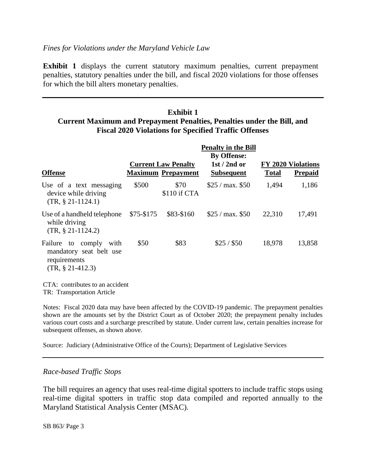**Exhibit 1** displays the current statutory maximum penalties, current prepayment penalties, statutory penalties under the bill, and fiscal 2020 violations for those offenses for which the bill alters monetary penalties.

## **Exhibit 1 Current Maximum and Prepayment Penalties, Penalties under the Bill, and Fiscal 2020 Violations for Specified Traffic Offenses**

|                                                                                            | <b>Penalty in the Bill</b><br><b>By Offense:</b> |                                                         |                                   |              |                                             |  |  |  |
|--------------------------------------------------------------------------------------------|--------------------------------------------------|---------------------------------------------------------|-----------------------------------|--------------|---------------------------------------------|--|--|--|
| <b>Offense</b>                                                                             |                                                  | <b>Current Law Penalty</b><br><b>Maximum Prepayment</b> | $1st/2nd$ or<br><b>Subsequent</b> | <b>Total</b> | <b>FY 2020 Violations</b><br><b>Prepaid</b> |  |  |  |
| Use of a text messaging<br>device while driving<br>$(TR, § 21-1124.1)$                     | \$500                                            | \$70<br>\$110 if CTA                                    | \$25 / max. \$50                  | 1,494        | 1,186                                       |  |  |  |
| Use of a handheld telephone<br>while driving<br>$(TR, § 21-1124.2)$                        | $$75-$175$                                       | \$83-\$160                                              | \$25 / max. \$50                  | 22,310       | 17,491                                      |  |  |  |
| Failure to comply<br>with<br>mandatory seat belt use<br>requirements<br>$(TR, § 21-412.3)$ | \$50                                             | \$83                                                    | \$25/\$50                         | 18,978       | 13,858                                      |  |  |  |
| CTA: contributes to an accident                                                            |                                                  |                                                         |                                   |              |                                             |  |  |  |

TR: Transportation Article

Notes: Fiscal 2020 data may have been affected by the COVID-19 pandemic. The prepayment penalties shown are the amounts set by the District Court as of October 2020; the prepayment penalty includes various court costs and a surcharge prescribed by statute. Under current law, certain penalties increase for subsequent offenses, as shown above.

Source: Judiciary (Administrative Office of the Courts); Department of Legislative Services

#### *Race-based Traffic Stops*

The bill requires an agency that uses real-time digital spotters to include traffic stops using real-time digital spotters in traffic stop data compiled and reported annually to the Maryland Statistical Analysis Center (MSAC).

SB 863/ Page 3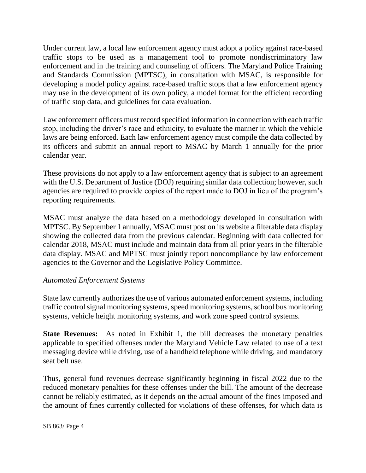Under current law, a local law enforcement agency must adopt a policy against race-based traffic stops to be used as a management tool to promote nondiscriminatory law enforcement and in the training and counseling of officers. The Maryland Police Training and Standards Commission (MPTSC), in consultation with MSAC, is responsible for developing a model policy against race-based traffic stops that a law enforcement agency may use in the development of its own policy, a model format for the efficient recording of traffic stop data, and guidelines for data evaluation.

Law enforcement officers must record specified information in connection with each traffic stop, including the driver's race and ethnicity, to evaluate the manner in which the vehicle laws are being enforced. Each law enforcement agency must compile the data collected by its officers and submit an annual report to MSAC by March 1 annually for the prior calendar year.

These provisions do not apply to a law enforcement agency that is subject to an agreement with the U.S. Department of Justice (DOJ) requiring similar data collection; however, such agencies are required to provide copies of the report made to DOJ in lieu of the program's reporting requirements.

MSAC must analyze the data based on a methodology developed in consultation with MPTSC. By September 1 annually, MSAC must post on its website a filterable data display showing the collected data from the previous calendar. Beginning with data collected for calendar 2018, MSAC must include and maintain data from all prior years in the filterable data display. MSAC and MPTSC must jointly report noncompliance by law enforcement agencies to the Governor and the Legislative Policy Committee.

## *Automated Enforcement Systems*

State law currently authorizes the use of various automated enforcement systems, including traffic control signal monitoring systems, speed monitoring systems, school bus monitoring systems, vehicle height monitoring systems, and work zone speed control systems.

**State Revenues:** As noted in Exhibit 1, the bill decreases the monetary penalties applicable to specified offenses under the Maryland Vehicle Law related to use of a text messaging device while driving, use of a handheld telephone while driving, and mandatory seat belt use.

Thus, general fund revenues decrease significantly beginning in fiscal 2022 due to the reduced monetary penalties for these offenses under the bill. The amount of the decrease cannot be reliably estimated, as it depends on the actual amount of the fines imposed and the amount of fines currently collected for violations of these offenses, for which data is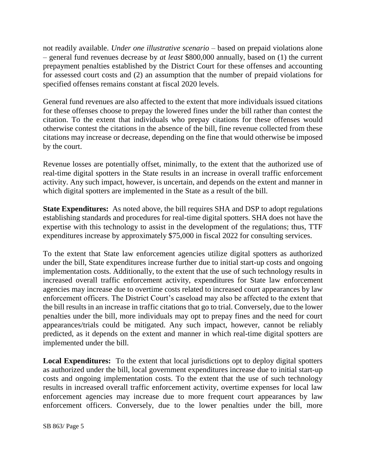not readily available. *Under one illustrative scenario* – based on prepaid violations alone – general fund revenues decrease by *at least* \$800,000 annually, based on (1) the current prepayment penalties established by the District Court for these offenses and accounting for assessed court costs and (2) an assumption that the number of prepaid violations for specified offenses remains constant at fiscal 2020 levels.

General fund revenues are also affected to the extent that more individuals issued citations for these offenses choose to prepay the lowered fines under the bill rather than contest the citation. To the extent that individuals who prepay citations for these offenses would otherwise contest the citations in the absence of the bill, fine revenue collected from these citations may increase or decrease, depending on the fine that would otherwise be imposed by the court.

Revenue losses are potentially offset, minimally, to the extent that the authorized use of real-time digital spotters in the State results in an increase in overall traffic enforcement activity. Any such impact, however, is uncertain, and depends on the extent and manner in which digital spotters are implemented in the State as a result of the bill.

**State Expenditures:** As noted above, the bill requires SHA and DSP to adopt regulations establishing standards and procedures for real-time digital spotters. SHA does not have the expertise with this technology to assist in the development of the regulations; thus, TTF expenditures increase by approximately \$75,000 in fiscal 2022 for consulting services.

To the extent that State law enforcement agencies utilize digital spotters as authorized under the bill, State expenditures increase further due to initial start-up costs and ongoing implementation costs. Additionally, to the extent that the use of such technology results in increased overall traffic enforcement activity, expenditures for State law enforcement agencies may increase due to overtime costs related to increased court appearances by law enforcement officers. The District Court's caseload may also be affected to the extent that the bill results in an increase in traffic citations that go to trial. Conversely, due to the lower penalties under the bill, more individuals may opt to prepay fines and the need for court appearances/trials could be mitigated. Any such impact, however, cannot be reliably predicted, as it depends on the extent and manner in which real-time digital spotters are implemented under the bill.

**Local Expenditures:** To the extent that local jurisdictions opt to deploy digital spotters as authorized under the bill, local government expenditures increase due to initial start-up costs and ongoing implementation costs. To the extent that the use of such technology results in increased overall traffic enforcement activity, overtime expenses for local law enforcement agencies may increase due to more frequent court appearances by law enforcement officers. Conversely, due to the lower penalties under the bill, more